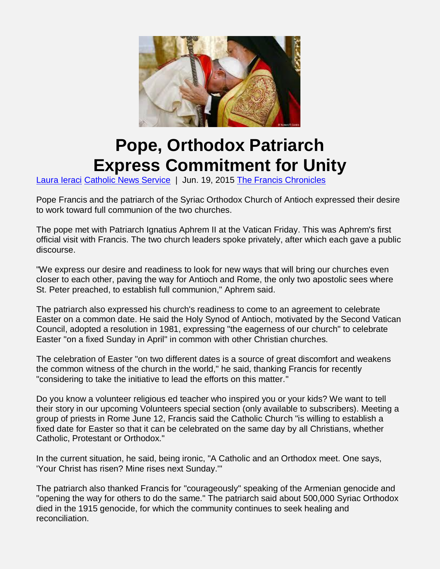

## **Pope, Orthodox Patriarch Express Commitment for Unity**

Laura Ieraci Catholic News Service | Jun. 19, 2015 The Francis Chronicles

Pope Francis and the patriarch of the Syriac Orthodox Church of Antioch expressed their desire to work toward full communion of the two churches.

The pope met with Patriarch Ignatius Aphrem II at the Vatican Friday. This was Aphrem's first official visit with Francis. The two church leaders spoke privately, after which each gave a public discourse.

"We express our desire and readiness to look for new ways that will bring our churches even closer to each other, paving the way for Antioch and Rome, the only two apostolic sees where St. Peter preached, to establish full communion," Aphrem said.

The patriarch also expressed his church's readiness to come to an agreement to celebrate Easter on a common date. He said the Holy Synod of Antioch, motivated by the Second Vatican Council, adopted a resolution in 1981, expressing "the eagerness of our church" to celebrate Easter "on a fixed Sunday in April" in common with other Christian churches.

The celebration of Easter "on two different dates is a source of great discomfort and weakens the common witness of the church in the world," he said, thanking Francis for recently "considering to take the initiative to lead the efforts on this matter."

Do you know a volunteer religious ed teacher who inspired you or your kids? We want to tell their story in our upcoming Volunteers special section (only available to subscribers). Meeting a group of priests in Rome June 12, Francis said the Catholic Church "is willing to establish a fixed date for Easter so that it can be celebrated on the same day by all Christians, whether Catholic, Protestant or Orthodox."

In the current situation, he said, being ironic, "A Catholic and an Orthodox meet. One says, 'Your Christ has risen? Mine rises next Sunday.'"

The patriarch also thanked Francis for "courageously" speaking of the Armenian genocide and "opening the way for others to do the same." The patriarch said about 500,000 Syriac Orthodox died in the 1915 genocide, for which the community continues to seek healing and reconciliation.